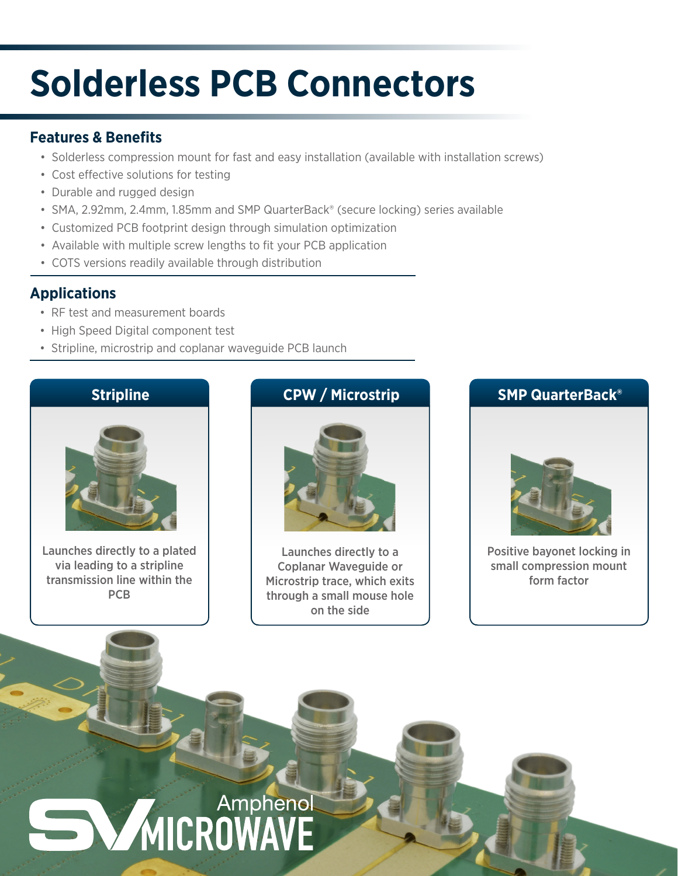## **Solderless PCB Connectors**

#### **Features & Benefits**

- Solderless compression mount for fast and easy installation (available with installation screws)
- Cost effective solutions for testing
- Durable and rugged design
- SMA, 2.92mm, 2.4mm, 1.85mm and SMP QuarterBack® (secure locking) series available
- Customized PCB footprint design through simulation optimization
- Available with multiple screw lengths to fit your PCB application
- COTS versions readily available through distribution

#### **Applications**

- RF test and measurement boards
- High Speed Digital component test
- Stripline, microstrip and coplanar waveguide PCB launch

#### **Stripline**



Launches directly to a plated via leading to a stripline transmission line within the PCB

### **CPW / Microstrip**



Launches directly to a Coplanar Waveguide or Microstrip trace, which exits through a small mouse hole on the side

#### **SMP QuarterBack®**



Positive bayonet locking in small compression mount form factor

# **MICROWAVE**